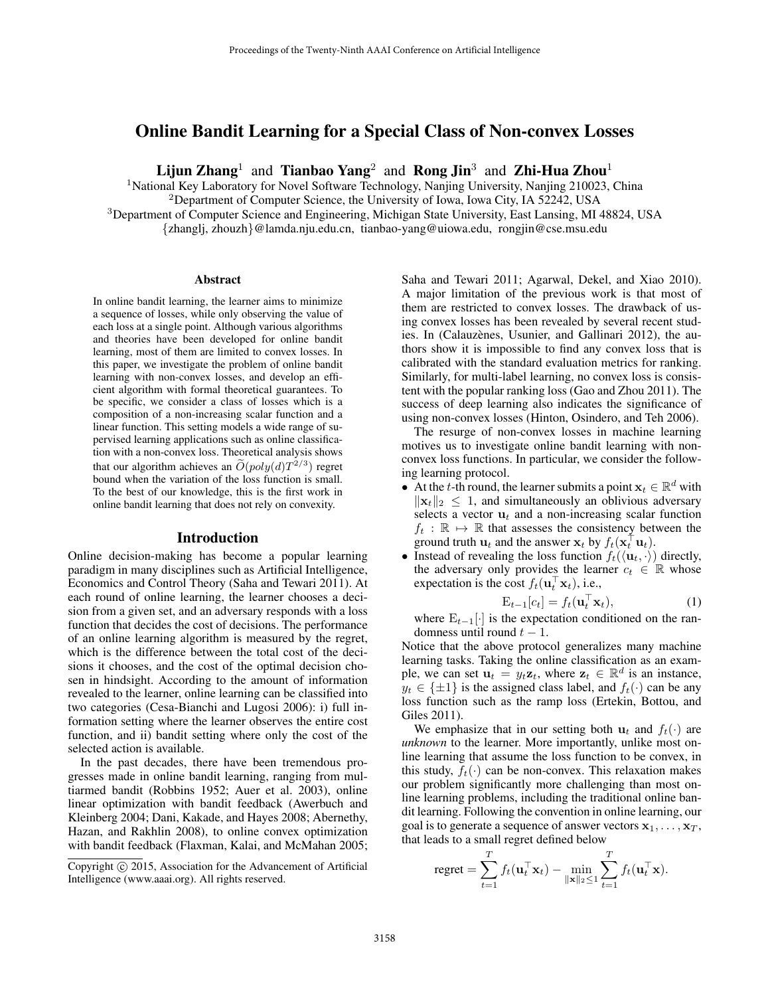## Online Bandit Learning for a Special Class of Non-convex Losses

Lijun Zhang<sup>1</sup> and Tianbao Yang<sup>2</sup> and Rong Jin<sup>3</sup> and Zhi-Hua Zhou<sup>1</sup>

<sup>1</sup>National Key Laboratory for Novel Software Technology, Nanjing University, Nanjing 210023, China

<sup>2</sup>Department of Computer Science, the University of Iowa, Iowa City, IA 52242, USA

<sup>3</sup>Department of Computer Science and Engineering, Michigan State University, East Lansing, MI 48824, USA {zhanglj, zhouzh}@lamda.nju.edu.cn, tianbao-yang@uiowa.edu, rongjin@cse.msu.edu

#### Abstract

In online bandit learning, the learner aims to minimize a sequence of losses, while only observing the value of each loss at a single point. Although various algorithms and theories have been developed for online bandit learning, most of them are limited to convex losses. In this paper, we investigate the problem of online bandit learning with non-convex losses, and develop an efficient algorithm with formal theoretical guarantees. To be specific, we consider a class of losses which is a composition of a non-increasing scalar function and a linear function. This setting models a wide range of supervised learning applications such as online classification with a non-convex loss. Theoretical analysis shows that our algorithm achieves an  $\tilde{O}(poly(d)T^{2/3})$  regret bound when the variation of the loss function is small. To the best of our knowledge, this is the first work in online bandit learning that does not rely on convexity.

#### Introduction

Online decision-making has become a popular learning paradigm in many disciplines such as Artificial Intelligence, Economics and Control Theory (Saha and Tewari 2011). At each round of online learning, the learner chooses a decision from a given set, and an adversary responds with a loss function that decides the cost of decisions. The performance of an online learning algorithm is measured by the regret, which is the difference between the total cost of the decisions it chooses, and the cost of the optimal decision chosen in hindsight. According to the amount of information revealed to the learner, online learning can be classified into two categories (Cesa-Bianchi and Lugosi 2006): i) full information setting where the learner observes the entire cost function, and ii) bandit setting where only the cost of the selected action is available.

In the past decades, there have been tremendous progresses made in online bandit learning, ranging from multiarmed bandit (Robbins 1952; Auer et al. 2003), online linear optimization with bandit feedback (Awerbuch and Kleinberg 2004; Dani, Kakade, and Hayes 2008; Abernethy, Hazan, and Rakhlin 2008), to online convex optimization with bandit feedback (Flaxman, Kalai, and McMahan 2005; Saha and Tewari 2011; Agarwal, Dekel, and Xiao 2010). A major limitation of the previous work is that most of them are restricted to convex losses. The drawback of using convex losses has been revealed by several recent studies. In (Calauzènes, Usunier, and Gallinari 2012), the authors show it is impossible to find any convex loss that is calibrated with the standard evaluation metrics for ranking. Similarly, for multi-label learning, no convex loss is consistent with the popular ranking loss (Gao and Zhou 2011). The success of deep learning also indicates the significance of using non-convex losses (Hinton, Osindero, and Teh 2006).

The resurge of non-convex losses in machine learning motives us to investigate online bandit learning with nonconvex loss functions. In particular, we consider the following learning protocol.

- At the t-th round, the learner submits a point  $x_t \in \mathbb{R}^d$  with  $\|\mathbf{x}_t\|_2 \leq 1$ , and simultaneously an oblivious adversary selects a vector  $\mathbf{u}_t$  and a non-increasing scalar function  $f_t : \mathbb{R} \mapsto \mathbb{R}$  that assesses the consistency between the ground truth  $\mathbf{u}_t$  and the answer  $\mathbf{x}_t$  by  $f_t(\mathbf{x}_t^\top \mathbf{u}_t)$ .
- Instead of revealing the loss function  $f_t(\langle \mathbf{u}_t, \cdot \rangle)$  directly, the adversary only provides the learner  $c_t \in \mathbb{R}$  whose expectation is the cost  $f_t(\mathbf{u}_t^{\top} \mathbf{x}_t)$ , i.e.,

$$
\mathbf{E}_{t-1}[c_t] = f_t(\mathbf{u}_t^\top \mathbf{x}_t),\tag{1}
$$

where  $E_{t-1}[\cdot]$  is the expectation conditioned on the randomness until round  $t - 1$ .

Notice that the above protocol generalizes many machine learning tasks. Taking the online classification as an example, we can set  $\mathbf{u}_t = y_t \mathbf{z}_t$ , where  $\mathbf{z}_t \in \mathbb{R}^d$  is an instance,  $y_t \in {\pm 1}$  is the assigned class label, and  $f_t(\cdot)$  can be any loss function such as the ramp loss (Ertekin, Bottou, and Giles 2011).

We emphasize that in our setting both  $u_t$  and  $f_t(\cdot)$  are *unknown* to the learner. More importantly, unlike most online learning that assume the loss function to be convex, in this study,  $f_t(\cdot)$  can be non-convex. This relaxation makes our problem significantly more challenging than most online learning problems, including the traditional online bandit learning. Following the convention in online learning, our goal is to generate a sequence of answer vectors  $x_1, \ldots, x_T$ , that leads to a small regret defined below

$$
\text{regret} = \sum_{t=1}^T f_t(\mathbf{u}_t^\top \mathbf{x}_t) - \min_{\|\mathbf{x}\|_2 \le 1} \sum_{t=1}^T f_t(\mathbf{u}_t^\top \mathbf{x}).
$$

Copyright  $\odot$  2015, Association for the Advancement of Artificial Intelligence (www.aaai.org). All rights reserved.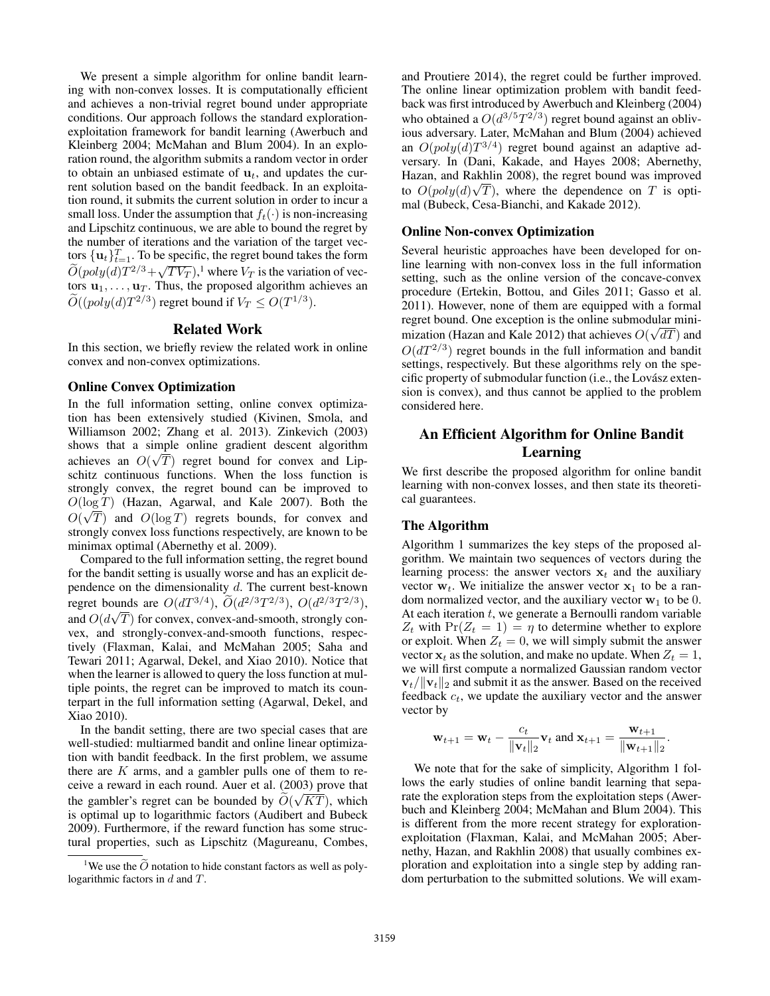We present a simple algorithm for online bandit learning with non-convex losses. It is computationally efficient and achieves a non-trivial regret bound under appropriate conditions. Our approach follows the standard explorationexploitation framework for bandit learning (Awerbuch and Kleinberg 2004; McMahan and Blum 2004). In an exploration round, the algorithm submits a random vector in order to obtain an unbiased estimate of  $\mathbf{u}_t$ , and updates the current solution based on the bandit feedback. In an exploitation round, it submits the current solution in order to incur a small loss. Under the assumption that  $f_t(\cdot)$  is non-increasing and Lipschitz continuous, we are able to bound the regret by the number of iterations and the variation of the target vectors  $\{\mathbf u_t\}_{t=1}^T$ . To be specific, the regret bound takes the form  $\tilde{O}(poly(d)T^{2/3} + \sqrt{TV_T}),$ <sup>1</sup> where  $V_T$  is the variation of vectors  $\mathbf{u}_1, \dots, \mathbf{u}_T$ . Thus, the proposed algorithm achieves an  $O((poly(d)T^{2/3})$  regret bound if  $V_T \leq O(T^{1/3})$ .

#### Related Work

In this section, we briefly review the related work in online convex and non-convex optimizations.

#### Online Convex Optimization

In the full information setting, online convex optimization has been extensively studied (Kivinen, Smola, and Williamson 2002; Zhang et al. 2013). Zinkevich (2003) shows that a simple online gradient descent algorithm achieves an  $O(\sqrt{T})$  regret bound for convex and Lipschitz continuous functions. When the loss function is strongly convex, the regret bound can be improved to  $O(\log T)$  (Hazan, Agarwal, and Kale 2007). Both the  $O(\sqrt{T})$  and  $O(\log T)$  regrets bounds, for convex and strongly convex loss functions respectively, are known to be minimax optimal (Abernethy et al. 2009).

Compared to the full information setting, the regret bound for the bandit setting is usually worse and has an explicit dependence on the dimensionality  $d$ . The current best-known regret bounds are  $O(dT^{3/4})$ ,  $O(d^{2/3}T^{2/3})$ ,  $O(d^{2/3}T^{2/3})$ , and  $O(d\sqrt{T})$  for convex, convex-and-smooth, strongly convex, and strongly-convex-and-smooth functions, respectively (Flaxman, Kalai, and McMahan 2005; Saha and Tewari 2011; Agarwal, Dekel, and Xiao 2010). Notice that when the learner is allowed to query the loss function at multiple points, the regret can be improved to match its counterpart in the full information setting (Agarwal, Dekel, and Xiao 2010).

In the bandit setting, there are two special cases that are well-studied: multiarmed bandit and online linear optimization with bandit feedback. In the first problem, we assume there are  $K$  arms, and a gambler pulls one of them to receive a reward in each round. Auer et al. (2003) prove that the gambler's regret can be bounded by  $O(\sqrt{KT})$ , which is optimal up to logarithmic factors (Audibert and Bubeck 2009). Furthermore, if the reward function has some structural properties, such as Lipschitz (Magureanu, Combes, and Proutiere 2014), the regret could be further improved. The online linear optimization problem with bandit feedback was first introduced by Awerbuch and Kleinberg (2004) who obtained a  $O(d^{3/5}T^{2/3})$  regret bound against an oblivious adversary. Later, McMahan and Blum (2004) achieved an  $O(poly(d)T^{3/4})$  regret bound against an adaptive adversary. In (Dani, Kakade, and Hayes 2008; Abernethy, Hazan, and Rakhlin 2008), the regret bound was improved √ to  $O(poly(d)\sqrt{T})$ , where the dependence on T is optimal (Bubeck, Cesa-Bianchi, and Kakade 2012).

#### Online Non-convex Optimization

Several heuristic approaches have been developed for online learning with non-convex loss in the full information setting, such as the online version of the concave-convex procedure (Ertekin, Bottou, and Giles 2011; Gasso et al. 2011). However, none of them are equipped with a formal regret bound. One exception is the online submodular minimization (Hazan and Kale 2012) that achieves  $O(\sqrt{dT})$  and  $O(dT^{2/3})$  regret bounds in the full information and bandit settings, respectively. But these algorithms rely on the specific property of submodular function (i.e., the Lovász extension is convex), and thus cannot be applied to the problem considered here.

# An Efficient Algorithm for Online Bandit Learning

We first describe the proposed algorithm for online bandit learning with non-convex losses, and then state its theoretical guarantees.

## The Algorithm

Algorithm 1 summarizes the key steps of the proposed algorithm. We maintain two sequences of vectors during the learning process: the answer vectors  $x_t$  and the auxiliary vector  $w_t$ . We initialize the answer vector  $x_1$  to be a random normalized vector, and the auxiliary vector  $w_1$  to be 0. At each iteration  $t$ , we generate a Bernoulli random variable  $Z_t$  with  $Pr(Z_t = 1) = \eta$  to determine whether to explore or exploit. When  $Z_t = 0$ , we will simply submit the answer vector  $x_t$  as the solution, and make no update. When  $Z_t = 1$ , we will first compute a normalized Gaussian random vector  $\mathbf{v}_t/\|\mathbf{v}_t\|_2$  and submit it as the answer. Based on the received feedback  $c_t$ , we update the auxiliary vector and the answer vector by

$$
\mathbf{w}_{t+1} = \mathbf{w}_t - \frac{c_t}{\|\mathbf{v}_t\|_2} \mathbf{v}_t
$$
 and  $\mathbf{x}_{t+1} = \frac{\mathbf{w}_{t+1}}{\|\mathbf{w}_{t+1}\|_2}$ .

We note that for the sake of simplicity, Algorithm 1 follows the early studies of online bandit learning that separate the exploration steps from the exploitation steps (Awerbuch and Kleinberg 2004; McMahan and Blum 2004). This is different from the more recent strategy for explorationexploitation (Flaxman, Kalai, and McMahan 2005; Abernethy, Hazan, and Rakhlin 2008) that usually combines exploration and exploitation into a single step by adding random perturbation to the submitted solutions. We will exam-

<sup>&</sup>lt;sup>1</sup>We use the  $\ddot{O}$  notation to hide constant factors as well as polylogarithmic factors in  $d$  and  $T$ .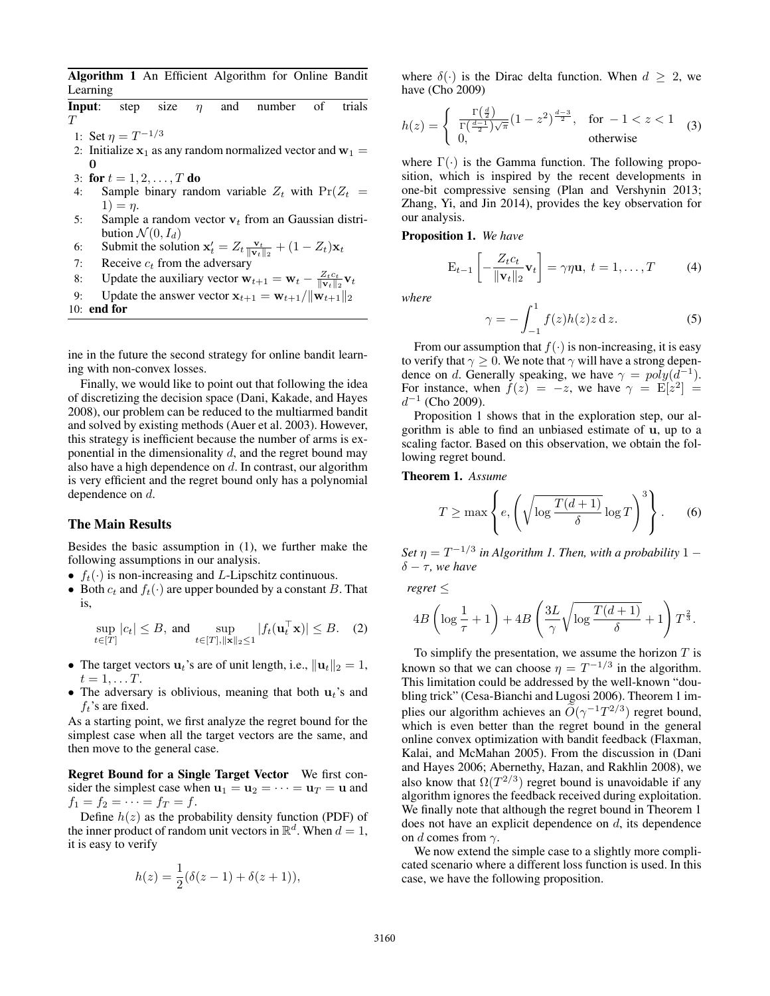Algorithm 1 An Efficient Algorithm for Online Bandit Learning

|     | <b>Input</b> : step                                                                                             | size |  |  | $\eta$ and number                                                                     | of | trials |
|-----|-----------------------------------------------------------------------------------------------------------------|------|--|--|---------------------------------------------------------------------------------------|----|--------|
| T   |                                                                                                                 |      |  |  |                                                                                       |    |        |
|     | 1: Set $\eta = T^{-1/3}$                                                                                        |      |  |  |                                                                                       |    |        |
|     | 2: Initialize $x_1$ as any random normalized vector and $w_1 =$                                                 |      |  |  |                                                                                       |    |        |
|     | 0                                                                                                               |      |  |  |                                                                                       |    |        |
|     | 3: for $t = 1, 2, , T$ do                                                                                       |      |  |  |                                                                                       |    |        |
| 4:  |                                                                                                                 |      |  |  | Sample binary random variable $Z_t$ with $Pr(Z_t =$                                   |    |        |
|     | $1) = \eta.$                                                                                                    |      |  |  |                                                                                       |    |        |
| 5:  | Sample a random vector $v_t$ from an Gaussian distri-                                                           |      |  |  |                                                                                       |    |        |
|     | bution $\mathcal{N}(0, I_d)$                                                                                    |      |  |  |                                                                                       |    |        |
| 6:  | Submit the solution $\mathbf{x}'_t = Z_t \frac{\mathbf{v}_t}{\ \mathbf{v}_t\ _2} + (1 - Z_t)\mathbf{x}_t$       |      |  |  |                                                                                       |    |        |
| 7:  | Receive $c_t$ from the adversary                                                                                |      |  |  |                                                                                       |    |        |
| 8:  | Update the auxiliary vector $\mathbf{w}_{t+1} = \mathbf{w}_t - \frac{Z_t c_t}{\ \mathbf{v}_t\ _2} \mathbf{v}_t$ |      |  |  |                                                                                       |    |        |
| 9:  |                                                                                                                 |      |  |  | Update the answer vector $\mathbf{x}_{t+1} = \mathbf{w}_{t+1}/\ \mathbf{w}_{t+1}\ _2$ |    |        |
| 10: | end for                                                                                                         |      |  |  |                                                                                       |    |        |

ine in the future the second strategy for online bandit learning with non-convex losses.

Finally, we would like to point out that following the idea of discretizing the decision space (Dani, Kakade, and Hayes 2008), our problem can be reduced to the multiarmed bandit and solved by existing methods (Auer et al. 2003). However, this strategy is inefficient because the number of arms is exponential in the dimensionality  $d$ , and the regret bound may also have a high dependence on  $d$ . In contrast, our algorithm is very efficient and the regret bound only has a polynomial dependence on d.

## The Main Results

Besides the basic assumption in (1), we further make the following assumptions in our analysis.

- $f_t(\cdot)$  is non-increasing and L-Lipschitz continuous.
- Both  $c_t$  and  $f_t(\cdot)$  are upper bounded by a constant B. That is,

$$
\sup_{t \in [T]} |c_t| \le B, \text{ and } \sup_{t \in [T], ||\mathbf{x}||_2 \le 1} |f_t(\mathbf{u}_t^\top \mathbf{x})| \le B. \quad (2)
$$

- The target vectors  $\mathbf{u}_t$ 's are of unit length, i.e.,  $\|\mathbf{u}_t\|_2 = 1$ ,  $t=1,\ldots T$ .
- The adversary is oblivious, meaning that both  $\mathbf{u}_t$ 's and  $f_t$ 's are fixed.

As a starting point, we first analyze the regret bound for the simplest case when all the target vectors are the same, and then move to the general case.

Regret Bound for a Single Target Vector We first consider the simplest case when  $\mathbf{u}_1 = \mathbf{u}_2 = \cdots = \mathbf{u}_T = \mathbf{u}$  and  $f_1 = f_2 = \cdots = f_T = f.$ 

Define  $h(z)$  as the probability density function (PDF) of the inner product of random unit vectors in  $\mathbb{R}^d$ . When  $d = 1$ , it is easy to verify

$$
h(z) = \frac{1}{2}(\delta(z-1) + \delta(z+1)),
$$

where  $\delta(\cdot)$  is the Dirac delta function. When  $d \geq 2$ , we have (Cho 2009)

$$
h(z) = \begin{cases} \frac{\Gamma\left(\frac{d}{2}\right)}{\Gamma\left(\frac{d-1}{2}\right)\sqrt{\pi}}(1-z^2)^{\frac{d-3}{2}}, & \text{for } -1 < z < 1\\ 0, & \text{otherwise} \end{cases} \tag{3}
$$

where  $\Gamma(\cdot)$  is the Gamma function. The following proposition, which is inspired by the recent developments in one-bit compressive sensing (Plan and Vershynin 2013; Zhang, Yi, and Jin 2014), provides the key observation for our analysis.

Proposition 1. *We have*

$$
\mathbf{E}_{t-1}\left[-\frac{Z_t c_t}{\|\mathbf{v}_t\|_2}\mathbf{v}_t\right] = \gamma \eta \mathbf{u}, \ t = 1, \dots, T \tag{4}
$$

*where*

$$
\gamma = -\int_{-1}^{1} f(z)h(z)z \, \mathrm{d}z. \tag{5}
$$

From our assumption that  $f(\cdot)$  is non-increasing, it is easy to verify that  $\gamma > 0$ . We note that  $\gamma$  will have a strong dependence on d. Generally speaking, we have  $\gamma = \text{poly}(d^{-1})$ . For instance, when  $f(z) = -z$ , we have  $\gamma = \mathbb{E}[z^2] =$  $d^{-1}$  (Cho 2009).

Proposition 1 shows that in the exploration step, our algorithm is able to find an unbiased estimate of u, up to a scaling factor. Based on this observation, we obtain the following regret bound.

Theorem 1. *Assume*

$$
T \ge \max \left\{ e, \left( \sqrt{\log \frac{T(d+1)}{\delta}} \log T \right)^3 \right\}.
$$
 (6)

Set  $\eta = T^{-1/3}$  in Algorithm 1. Then, with a probability  $1 \delta - \tau$ *, we have* 

*regret* ≤

$$
4B\left(\log\frac{1}{\tau}+1\right)+4B\left(\frac{3L}{\gamma}\sqrt{\log\frac{T(d+1)}{\delta}}+1\right)T^{\frac{2}{3}}.
$$

To simplify the presentation, we assume the horizon  $T$  is known so that we can choose  $\eta = T^{-1/3}$  in the algorithm. This limitation could be addressed by the well-known "doubling trick" (Cesa-Bianchi and Lugosi 2006). Theorem 1 implies our algorithm achieves an  $\widetilde{O}(\gamma^{-1}T^{2/3})$  regret bound, which is even better than the regret bound in the general online convex optimization with bandit feedback (Flaxman, Kalai, and McMahan 2005). From the discussion in (Dani and Hayes 2006; Abernethy, Hazan, and Rakhlin 2008), we also know that  $\Omega(T^{2/3})$  regret bound is unavoidable if any algorithm ignores the feedback received during exploitation. We finally note that although the regret bound in Theorem 1 does not have an explicit dependence on  $d$ , its dependence on d comes from  $\gamma$ .

We now extend the simple case to a slightly more complicated scenario where a different loss function is used. In this case, we have the following proposition.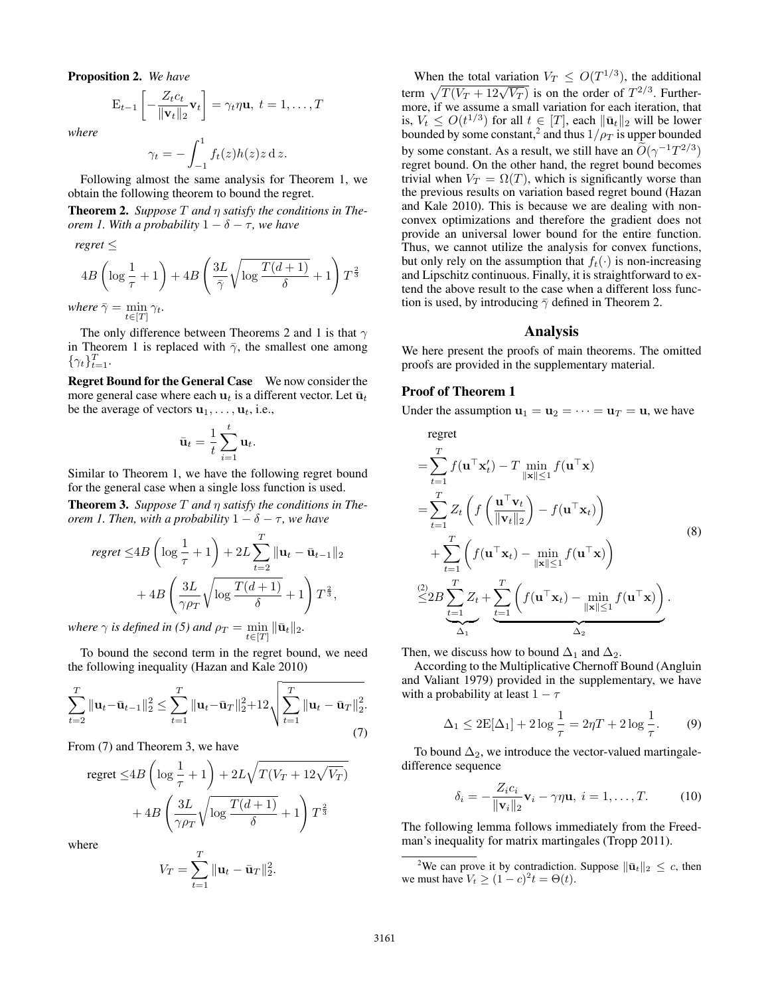Proposition 2. *We have*

$$
\mathbf{E}_{t-1}\left[-\frac{Z_t c_t}{\|\mathbf{v}_t\|_2}\mathbf{v}_t\right] = \gamma_t \eta \mathbf{u}, \ t = 1, \dots, T
$$

*where*

$$
\gamma_t = -\int_{-1}^1 f_t(z)h(z)z \, \mathrm{d} z.
$$

Following almost the same analysis for Theorem 1, we obtain the following theorem to bound the regret.

Theorem 2. *Suppose* T *and* η *satisfy the conditions in Theorem 1. With a probability*  $1 - \delta - \tau$ *, we have* 

*regret* ≤

$$
4B\left(\log\frac{1}{\tau}+1\right)+4B\left(\frac{3L}{\bar{\gamma}}\sqrt{\log\frac{T(d+1)}{\delta}}+1\right)T^{\frac{2}{3}}
$$
  
where  $\bar{\gamma}=\min_{t\in[T]}\gamma_t$ .

The only difference between Theorems 2 and 1 is that  $\gamma$ in Theorem 1 is replaced with  $\bar{\gamma}$ , the smallest one among  $\{\gamma_t\}_{t=1}^T$ .

Regret Bound for the General Case We now consider the more general case where each  $\mathbf{u}_t$  is a different vector. Let  $\bar{\mathbf{u}}_t$ be the average of vectors  $\mathbf{u}_1, \dots, \mathbf{u}_t$ , i.e.,

$$
\bar{\mathbf{u}}_t = \frac{1}{t} \sum_{i=1}^t \mathbf{u}_t.
$$

Similar to Theorem 1, we have the following regret bound for the general case when a single loss function is used.

Theorem 3. *Suppose* T *and* η *satisfy the conditions in Theorem 1. Then, with a probability*  $1 - \delta - \tau$ *, we have* 

$$
regret \leq 4B \left( \log \frac{1}{\tau} + 1 \right) + 2L \sum_{t=2}^{T} \|\mathbf{u}_t - \bar{\mathbf{u}}_{t-1}\|_2
$$

$$
+ 4B \left( \frac{3L}{\gamma \rho_T} \sqrt{\log \frac{T(d+1)}{\delta}} + 1 \right) T^{\frac{2}{3}},
$$

*where*  $\gamma$  *is defined in* (5) and  $\rho_T = \min_{t \in [T]} \|\bar{\mathbf{u}}_t\|_2$ .

To bound the second term in the regret bound, we need the following inequality (Hazan and Kale 2010)

$$
\sum_{t=2}^{T} \|\mathbf{u}_t - \bar{\mathbf{u}}_{t-1}\|_2^2 \le \sum_{t=1}^{T} \|\mathbf{u}_t - \bar{\mathbf{u}}_T\|_2^2 + 12\sqrt{\sum_{t=1}^{T} \|\mathbf{u}_t - \bar{\mathbf{u}}_T\|_2^2}.
$$
\n(7)

From (7) and Theorem 3, we have

regret 
$$
\leq 4B \left( \log \frac{1}{\tau} + 1 \right) + 2L \sqrt{T(V_T + 12\sqrt{V_T})}
$$
  
+  $4B \left( \frac{3L}{\gamma \rho_T} \sqrt{\log \frac{T(d+1)}{\delta}} + 1 \right) T^{\frac{2}{3}}$ 

where

$$
V_T = \sum_{t=1}^T \|\mathbf{u}_t - \bar{\mathbf{u}}_T\|_2^2.
$$

When the total variation  $V_T \n\leq O(T^{1/3})$ , the additional when the total variation  $v_T \le O(T^2)$ , the additional<br>term  $\sqrt{T(V_T + 12\sqrt{V_T})}$  is on the order of  $T^{2/3}$ . Furthermore, if we assume a small variation for each iteration, that is,  $V_t \leq O(t^{1/3})$  for all  $t \in [T]$ , each  $\|\bar{\mathbf{u}}_t\|_2$  will be lower bounded by some constant,<sup>2</sup> and thus  $1/\rho_T$  is upper bounded by some constant. As a result, we still have an  $\tilde{O}(\gamma^{-1}T^{2/3})$ regret bound. On the other hand, the regret bound becomes trivial when  $V_T = \Omega(T)$ , which is significantly worse than the previous results on variation based regret bound (Hazan and Kale 2010). This is because we are dealing with nonconvex optimizations and therefore the gradient does not provide an universal lower bound for the entire function. Thus, we cannot utilize the analysis for convex functions, but only rely on the assumption that  $f_t(\cdot)$  is non-increasing and Lipschitz continuous. Finally, it is straightforward to extend the above result to the case when a different loss function is used, by introducing  $\bar{\gamma}$  defined in Theorem 2.

#### Analysis

We here present the proofs of main theorems. The omitted proofs are provided in the supplementary material.

#### Proof of Theorem 1

Under the assumption  $\mathbf{u}_1 = \mathbf{u}_2 = \cdots = \mathbf{u}_T = \mathbf{u}$ , we have

regret  
\n
$$
= \sum_{t=1}^{T} f(\mathbf{u}^{\top} \mathbf{x}_{t}') - T \min_{\|\mathbf{x}\| \leq 1} f(\mathbf{u}^{\top} \mathbf{x})
$$
\n
$$
= \sum_{t=1}^{T} Z_{t} \left( f\left(\frac{\mathbf{u}^{\top} \mathbf{v}_{t}}{\|\mathbf{v}_{t}\|_{2}}\right) - f(\mathbf{u}^{\top} \mathbf{x}_{t}) \right)
$$
\n
$$
+ \sum_{t=1}^{T} \left( f(\mathbf{u}^{\top} \mathbf{x}_{t}) - \min_{\|\mathbf{x}\| \leq 1} f(\mathbf{u}^{\top} \mathbf{x}) \right)
$$
\n
$$
\leq 2B \sum_{t=1}^{T} Z_{t} + \sum_{t=1}^{T} \left( f(\mathbf{u}^{\top} \mathbf{x}_{t}) - \min_{\|\mathbf{x}\| \leq 1} f(\mathbf{u}^{\top} \mathbf{x}) \right).
$$
\n(A)

Then, we discuss how to bound  $\Delta_1$  and  $\Delta_2$ .

According to the Multiplicative Chernoff Bound (Angluin and Valiant 1979) provided in the supplementary, we have with a probability at least  $1 - \tau$ 

$$
\Delta_1 \le 2E[\Delta_1] + 2\log\frac{1}{\tau} = 2\eta T + 2\log\frac{1}{\tau}.
$$
 (9)

To bound  $\Delta_2$ , we introduce the vector-valued martingaledifference sequence

$$
\delta_i = -\frac{Z_i c_i}{\|\mathbf{v}_i\|_2} \mathbf{v}_i - \gamma \eta \mathbf{u}, \ i = 1, \dots, T. \tag{10}
$$

The following lemma follows immediately from the Freedman's inequality for matrix martingales (Tropp 2011).

<sup>&</sup>lt;sup>2</sup>We can prove it by contradiction. Suppose  $\|\bar{\mathbf{u}}_t\|_2 \leq c$ , then we must have  $V_t \ge (1 - c)^2 t = \Theta(t)$ .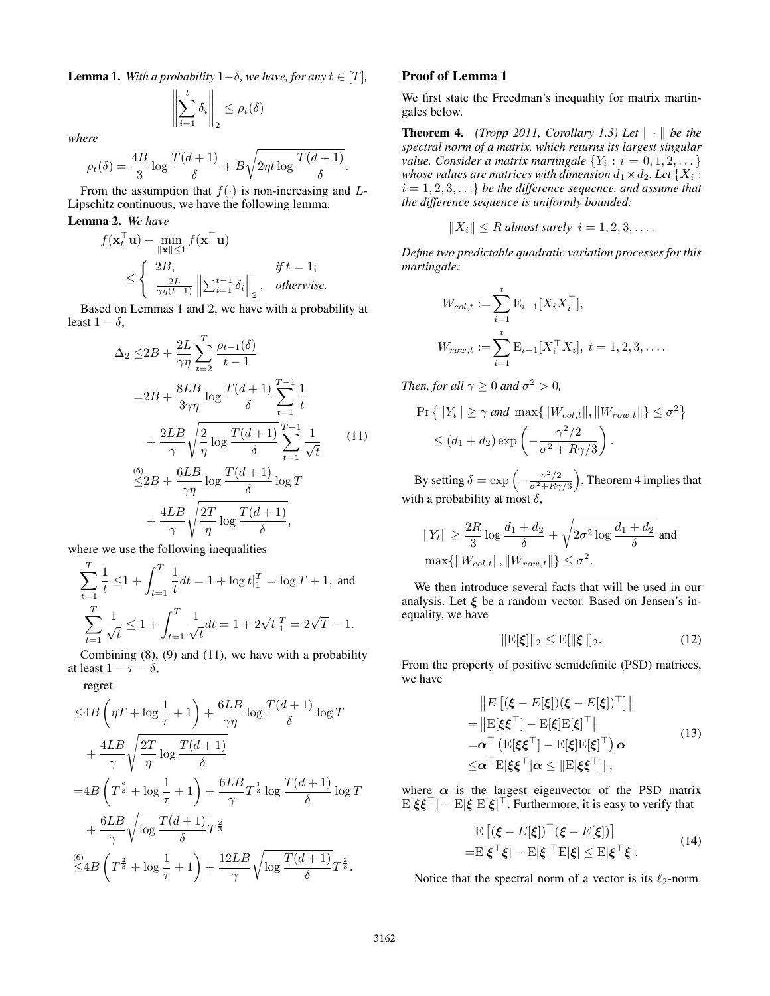**Lemma 1.** *With a probability*  $1-\delta$ *, we have, for any*  $t \in [T]$ *,* 

$$
\left\| \sum_{i=1}^t \delta_i \right\|_2 \le \rho_t(\delta)
$$

*where*

$$
\rho_t(\delta) = \frac{4B}{3} \log \frac{T(d+1)}{\delta} + B\sqrt{2\eta t \log \frac{T(d+1)}{\delta}}.
$$

From the assumption that  $f(\cdot)$  is non-increasing and L-Lipschitz continuous, we have the following lemma.

# Lemma 2. *We have*

$$
f(\mathbf{x}_t^{\top} \mathbf{u}) - \min_{\|\mathbf{x}\| \le 1} f(\mathbf{x}^{\top} \mathbf{u})
$$
  
\n
$$
\le \begin{cases} 2B, & \text{if } t = 1; \\ \frac{2L}{\gamma \eta(t-1)} \left\| \sum_{i=1}^{t-1} \delta_i \right\|_2, & \text{otherwise.} \end{cases}
$$

Based on Lemmas 1 and 2, we have with a probability at least  $1 - \delta$ .

$$
\Delta_2 \leq 2B + \frac{2L}{\gamma \eta} \sum_{t=2}^T \frac{\rho_{t-1}(\delta)}{t-1}
$$
  
\n
$$
= 2B + \frac{8LB}{3\gamma \eta} \log \frac{T(d+1)}{\delta} \sum_{t=1}^{T-1} \frac{1}{t}
$$
  
\n
$$
+ \frac{2LB}{\gamma} \sqrt{\frac{2}{\eta} \log \frac{T(d+1)}{\delta}} \sum_{t=1}^{T-1} \frac{1}{\sqrt{t}}
$$
  
\n
$$
\frac{60}{\leq 2B} + \frac{6LB}{\gamma \eta} \log \frac{T(d+1)}{\delta} \log T
$$
  
\n
$$
+ \frac{4LB}{\gamma} \sqrt{\frac{2T}{\eta} \log \frac{T(d+1)}{\delta}},
$$
 (11)

where we use the following inequalities

$$
\sum_{t=1}^{T} \frac{1}{t} \le 1 + \int_{t=1}^{T} \frac{1}{t} dt = 1 + \log t \Big|_{1}^{T} = \log T + 1, \text{ and}
$$

$$
\sum_{t=1}^{T} \frac{1}{\sqrt{t}} \le 1 + \int_{t=1}^{T} \frac{1}{\sqrt{t}} dt = 1 + 2\sqrt{t} \Big|_{1}^{T} = 2\sqrt{T} - 1.
$$

Combining  $(8)$ ,  $(9)$  and  $(11)$ , we have with a probability at least  $1 - \tau - \delta$ ,

regret

 $\sim$ 

$$
\leq 4B \left( \eta T + \log \frac{1}{\tau} + 1 \right) + \frac{6LB}{\gamma \eta} \log \frac{T(d+1)}{\delta} \log T
$$
  
+ 
$$
\frac{4LB}{\gamma} \sqrt{\frac{2T}{\eta} \log \frac{T(d+1)}{\delta}}
$$
  
= 
$$
4B \left( T^{\frac{2}{3}} + \log \frac{1}{\tau} + 1 \right) + \frac{6LB}{\gamma} T^{\frac{1}{3}} \log \frac{T(d+1)}{\delta} \log T
$$
  
+ 
$$
\frac{6LB}{\gamma} \sqrt{\log \frac{T(d+1)}{\delta}} T^{\frac{2}{3}}
$$
  

$$
\leq 4B \left( T^{\frac{2}{3}} + \log \frac{1}{\tau} + 1 \right) + \frac{12LB}{\gamma} \sqrt{\log \frac{T(d+1)}{\delta}} T^{\frac{2}{3}}.
$$

## Proof of Lemma 1

We first state the Freedman's inequality for matrix martingales below.

**Theorem 4.** *(Tropp 2011, Corollary 1.3) Let*  $\|\cdot\|$  *be the spectral norm of a matrix, which returns its largest singular value. Consider a matrix martingale*  $\{Y_i : i = 0, 1, 2, \dots\}$ whose values are matrices with dimension  $d_1 \!\times\! d_2$ . Let  $\{X_i: \mathcal{X}_i\}$  $i = 1, 2, 3, \ldots$  *be the difference sequence, and assume that the difference sequence is uniformly bounded:*

$$
||X_i|| \leq R \text{ almost surely } i = 1, 2, 3, \dots
$$

*Define two predictable quadratic variation processes for this martingale:*

$$
W_{col,t} := \sum_{i=1}^{t} \mathbf{E}_{i-1}[X_i X_i^{\top}],
$$
  

$$
W_{row,t} := \sum_{i=1}^{t} \mathbf{E}_{i-1}[X_i^{\top} X_i], t = 1, 2, 3, ....
$$

*Then, for all*  $\gamma \geq 0$  *and*  $\sigma^2 > 0$ *,* 

$$
\Pr\left\{||Y_t|| \ge \gamma \text{ and } \max\{||W_{col,t}||, ||W_{row,t}||\} \le \sigma^2\right\}
$$

$$
\le (d_1 + d_2) \exp\left(-\frac{\gamma^2/2}{\sigma^2 + R\gamma/3}\right).
$$

By setting  $\delta = \exp \left(-\frac{\gamma^2/2}{\sigma^2 + B\gamma}\right)$  $\left(\frac{\gamma^2/2}{\sigma^2+R\gamma/3}\right)$ , Theorem 4 implies that with a probability at most  $\delta$ ,

$$
||Y_t|| \ge \frac{2R}{3} \log \frac{d_1 + d_2}{\delta} + \sqrt{2\sigma^2 \log \frac{d_1 + d_2}{\delta}} \text{ and}
$$
  

$$
\max\{||W_{col,t}||, ||W_{row,t}||\} \le \sigma^2.
$$

We then introduce several facts that will be used in our analysis. Let  $\xi$  be a random vector. Based on Jensen's inequality, we have

$$
\|\mathbf{E}[\xi]\|_2 \le \mathbf{E}[\|\xi\|]_2. \tag{12}
$$

From the property of positive semidefinite (PSD) matrices, we have

$$
||E[(\xi - E[\xi])(\xi - E[\xi])^{\top}]||
$$
  
\n
$$
= ||E[\xi \xi^{\top}] - E[\xi]E[\xi]^{\top}||
$$
  
\n
$$
= \alpha^{\top} (E[\xi \xi^{\top}] - E[\xi]E[\xi]^{\top}) \alpha
$$
  
\n
$$
\leq \alpha^{\top} E[\xi \xi^{\top}] \alpha \leq ||E[\xi \xi^{\top}]||,
$$
\n(13)

where  $\alpha$  is the largest eigenvector of the PSD matrix  $\mathbb{E}[\xi \xi^\top] - \mathbb{E}[\xi] \mathbb{E}[\xi]^\top$ . Furthermore, it is easy to verify that

$$
\mathbf{E}\left[ (\boldsymbol{\xi} - E[\boldsymbol{\xi}])^{\top} (\boldsymbol{\xi} - E[\boldsymbol{\xi}]) \right] \n= \mathbf{E}[\boldsymbol{\xi}^{\top} \boldsymbol{\xi}] - \mathbf{E}[\boldsymbol{\xi}]^{\top} \mathbf{E}[\boldsymbol{\xi}] \le \mathbf{E}[\boldsymbol{\xi}^{\top} \boldsymbol{\xi}].
$$
\n(14)

Notice that the spectral norm of a vector is its  $\ell_2$ -norm.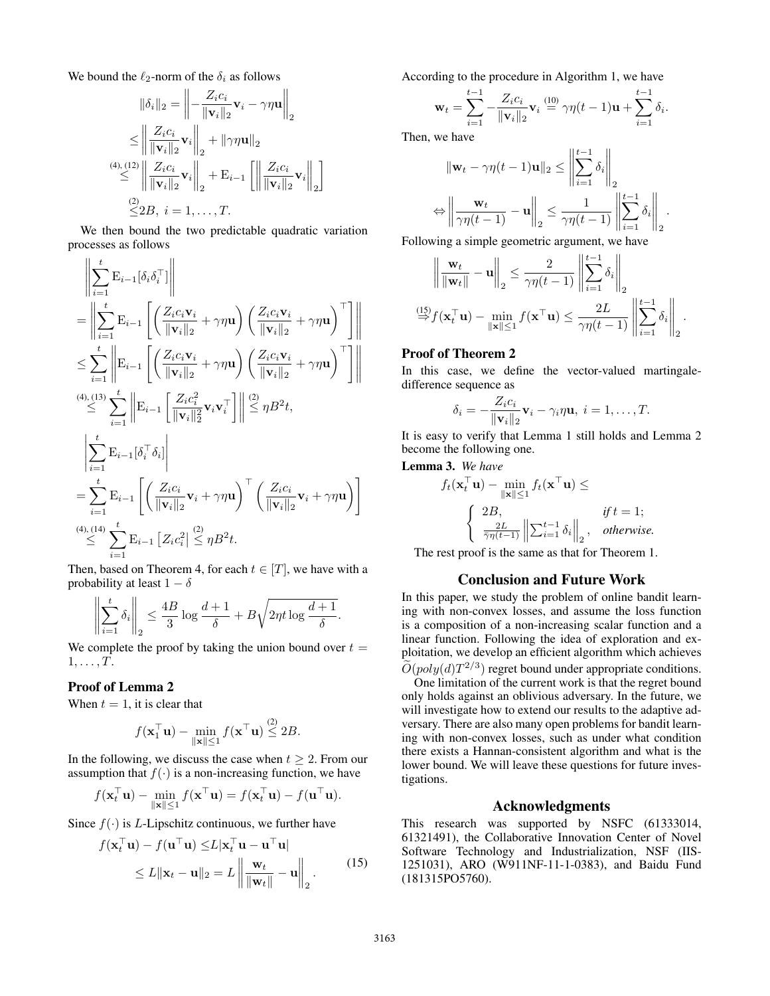We bound the  $\ell_2$ -norm of the  $\delta_i$  as follows

$$
\|\delta_i\|_2 = \left\| -\frac{Z_i c_i}{\|\mathbf{v}_i\|_2} \mathbf{v}_i - \gamma \eta \mathbf{u} \right\|_2
$$
  
\n
$$
\leq \left\| \frac{Z_i c_i}{\|\mathbf{v}_i\|_2} \mathbf{v}_i \right\|_2 + \|\gamma \eta \mathbf{u}\|_2
$$
  
\n
$$
\overset{(4), (12)}{\leq} \left\| \frac{Z_i c_i}{\|\mathbf{v}_i\|_2} \mathbf{v}_i \right\|_2 + \mathbf{E}_{i-1} \left[ \left\| \frac{Z_i c_i}{\|\mathbf{v}_i\|_2} \mathbf{v}_i \right\|_2 \right]
$$
  
\n
$$
\overset{(2)}{\leq} 2B, \ i = 1, \dots, T.
$$

We then bound the two predictable quadratic variation processes as follows

$$
\begin{split}\n&\left\|\sum_{i=1}^{t} \mathbf{E}_{i-1}[\delta_{i}\delta_{i}^{\top}]\right\| \\
&= \left\|\sum_{i=1}^{t} \mathbf{E}_{i-1}\left[\left(\frac{Z_{i}c_{i}\mathbf{v}_{i}}{\|\mathbf{v}_{i}\|_{2}} + \gamma\eta\mathbf{u}\right)\left(\frac{Z_{i}c_{i}\mathbf{v}_{i}}{\|\mathbf{v}_{i}\|_{2}} + \gamma\eta\mathbf{u}\right)^{\top}\right]\right\| \\
&\leq \sum_{i=1}^{t} \left\|\mathbf{E}_{i-1}\left[\left(\frac{Z_{i}c_{i}\mathbf{v}_{i}}{\|\mathbf{v}_{i}\|_{2}} + \gamma\eta\mathbf{u}\right)\left(\frac{Z_{i}c_{i}\mathbf{v}_{i}}{\|\mathbf{v}_{i}\|_{2}} + \gamma\eta\mathbf{u}\right)^{\top}\right]\right\| \\
&\stackrel{(4), (13)}{\leq} \sum_{i=1}^{t} \left\|\mathbf{E}_{i-1}\left[\frac{Z_{i}c_{i}^{2}}{\|\mathbf{v}_{i}\|_{2}^{2}}\mathbf{v}_{i}\mathbf{v}_{i}^{\top}\right]\right\| \stackrel{(2)}{\leq} \eta B^{2}t, \\
&\left\|\sum_{i=1}^{t} \mathbf{E}_{i-1}[\delta_{i}^{\top}\delta_{i}\right| \\
&= \sum_{i=1}^{t} \mathbf{E}_{i-1}\left[\left(\frac{Z_{i}c_{i}}{\|\mathbf{v}_{i}\|_{2}}\mathbf{v}_{i} + \gamma\eta\mathbf{u}\right)^{\top}\left(\frac{Z_{i}c_{i}}{\|\mathbf{v}_{i}\|_{2}}\mathbf{v}_{i} + \gamma\eta\mathbf{u}\right)\right] \\
&\stackrel{(4), (14)}{\leq} \sum_{i=1}^{t} \mathbf{E}_{i-1}\left[Z_{i}c_{i}^{2}\right] \stackrel{(2)}{\leq} \eta B^{2}t.\n\end{split}
$$

Then, based on Theorem 4, for each  $t \in [T]$ , we have with a probability at least  $1 - \delta$ 

$$
\left\| \sum_{i=1}^t \delta_i \right\|_2 \le \frac{4B}{3} \log \frac{d+1}{\delta} + B\sqrt{2\eta t \log \frac{d+1}{\delta}}.
$$

We complete the proof by taking the union bound over  $t =$  $1, \ldots, T$ .

### Proof of Lemma 2

When  $t = 1$ , it is clear that

$$
f(\mathbf{x}_1^\top \mathbf{u}) - \min_{\|\mathbf{x}\| \le 1} f(\mathbf{x}^\top \mathbf{u}) \stackrel{(2)}{\le} 2B.
$$

In the following, we discuss the case when  $t \geq 2$ . From our assumption that  $f(\cdot)$  is a non-increasing function, we have

$$
f(\mathbf{x}_t^\top \mathbf{u}) - \min_{\|\mathbf{x}\| \le 1} f(\mathbf{x}^\top \mathbf{u}) = f(\mathbf{x}_t^\top \mathbf{u}) - f(\mathbf{u}^\top \mathbf{u}).
$$

Since  $f(\cdot)$  is *L*-Lipschitz continuous, we further have

$$
f(\mathbf{x}_t^{\top} \mathbf{u}) - f(\mathbf{u}^{\top} \mathbf{u}) \le L |\mathbf{x}_t^{\top} \mathbf{u} - \mathbf{u}^{\top} \mathbf{u}|
$$
  
\n
$$
\le L ||\mathbf{x}_t - \mathbf{u}||_2 = L \left\| \frac{\mathbf{w}_t}{||\mathbf{w}_t||} - \mathbf{u} \right\|_2.
$$
 (15)

According to the procedure in Algorithm 1, we have

$$
\mathbf{w}_t = \sum_{i=1}^{t-1} -\frac{Z_i c_i}{\|\mathbf{v}_i\|_2} \mathbf{v}_i \stackrel{(10)}{=} \gamma \eta(t-1)\mathbf{u} + \sum_{i=1}^{t-1} \delta_i.
$$

Then, we have

$$
\|\mathbf{w}_t - \gamma \eta(t-1)\mathbf{u}\|_2 \le \left\|\sum_{i=1}^{t-1} \delta_i\right\|_2
$$

$$
\Leftrightarrow \left\|\frac{\mathbf{w}_t}{\gamma \eta(t-1)} - \mathbf{u}\right\|_2 \le \frac{1}{\gamma \eta(t-1)} \left\|\sum_{i=1}^{t-1} \delta_i\right\|_2.
$$

Following a simple geometric argument, we have

$$
\left\| \frac{\mathbf{w}_t}{\|\mathbf{w}_t\|} - \mathbf{u} \right\|_2 \leq \frac{2}{\gamma \eta(t-1)} \left\| \sum_{i=1}^{t-1} \delta_i \right\|_2
$$

$$
\stackrel{(15)}{\Rightarrow} f(\mathbf{x}_t^\top \mathbf{u}) - \min_{\|\mathbf{x}\| \leq 1} f(\mathbf{x}^\top \mathbf{u}) \leq \frac{2L}{\gamma \eta(t-1)} \left\| \sum_{i=1}^{t-1} \delta_i \right\|_2.
$$

## Proof of Theorem 2

In this case, we define the vector-valued martingaledifference sequence as

$$
\delta_i = -\frac{Z_i c_i}{\|\mathbf{v}_i\|_2} \mathbf{v}_i - \gamma_i \eta \mathbf{u}, \ i = 1, \dots, T.
$$

It is easy to verify that Lemma 1 still holds and Lemma 2 become the following one.

Lemma 3. *We have*

$$
f_t(\mathbf{x}_t^\top \mathbf{u}) - \min_{\|\mathbf{x}\| \le 1} f_t(\mathbf{x}^\top \mathbf{u}) \le
$$
  

$$
\begin{cases} 2B, & \text{if } t = 1; \\ \frac{2L}{\overline{\gamma \eta(t-1)}} \left\| \sum_{i=1}^{t-1} \delta_i \right\|_2, & \text{otherwise.} \end{cases}
$$

The rest proof is the same as that for Theorem 1.

#### Conclusion and Future Work

In this paper, we study the problem of online bandit learning with non-convex losses, and assume the loss function is a composition of a non-increasing scalar function and a linear function. Following the idea of exploration and exploitation, we develop an efficient algorithm which achieves  $\widetilde{O}(poly(d)T^{2/3})$  regret bound under appropriate conditions.

One limitation of the current work is that the regret bound only holds against an oblivious adversary. In the future, we will investigate how to extend our results to the adaptive adversary. There are also many open problems for bandit learning with non-convex losses, such as under what condition there exists a Hannan-consistent algorithm and what is the lower bound. We will leave these questions for future investigations.

### Acknowledgments

This research was supported by NSFC (61333014, 61321491), the Collaborative Innovation Center of Novel Software Technology and Industrialization, NSF (IIS-1251031), ARO (W911NF-11-1-0383), and Baidu Fund (181315PO5760).